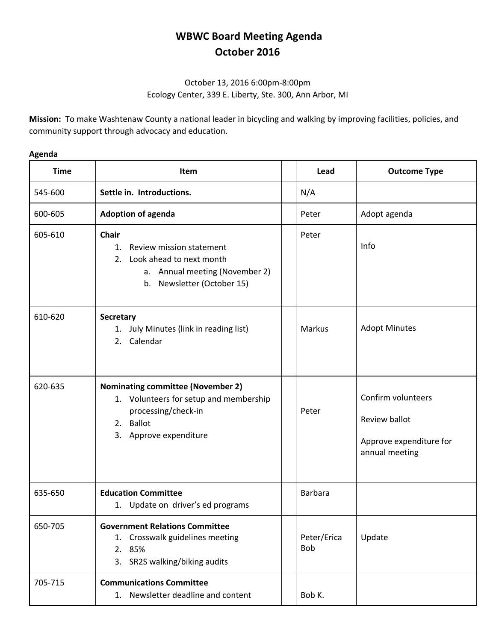## **WBWC Board Meeting Agenda October 2016**

## October 13, 2016 6:00pm-8:00pm Ecology Center, 339 E. Liberty, Ste. 300, Ann Arbor, MI

**Mission:** To make Washtenaw County a national leader in bicycling and walking by improving facilities, policies, and community support through advocacy and education.

## **Agenda**

| <b>Time</b> | Item                                                                                                                                             | Lead                      | <b>Outcome Type</b>                                                              |
|-------------|--------------------------------------------------------------------------------------------------------------------------------------------------|---------------------------|----------------------------------------------------------------------------------|
| 545-600     | Settle in. Introductions.                                                                                                                        | N/A                       |                                                                                  |
| 600-605     | <b>Adoption of agenda</b>                                                                                                                        | Peter                     | Adopt agenda                                                                     |
| 605-610     | <b>Chair</b><br>Review mission statement<br>1.<br>2. Look ahead to next month<br>a. Annual meeting (November 2)<br>b. Newsletter (October 15)    | Peter                     | Info                                                                             |
| 610-620     | Secretary<br>1. July Minutes (link in reading list)<br>2. Calendar                                                                               | Markus                    | <b>Adopt Minutes</b>                                                             |
| 620-635     | <b>Nominating committee (November 2)</b><br>1. Volunteers for setup and membership<br>processing/check-in<br>2. Ballot<br>3. Approve expenditure | Peter                     | Confirm volunteers<br>Review ballot<br>Approve expenditure for<br>annual meeting |
| 635-650     | <b>Education Committee</b><br>1. Update on driver's ed programs                                                                                  | Barbara                   |                                                                                  |
| 650-705     | <b>Government Relations Committee</b><br>Crosswalk guidelines meeting<br>1.<br>85%<br>2.<br>3. SR2S walking/biking audits                        | Peter/Erica<br><b>Bob</b> | Update                                                                           |
| 705-715     | <b>Communications Committee</b><br>1. Newsletter deadline and content                                                                            | Bob K.                    |                                                                                  |